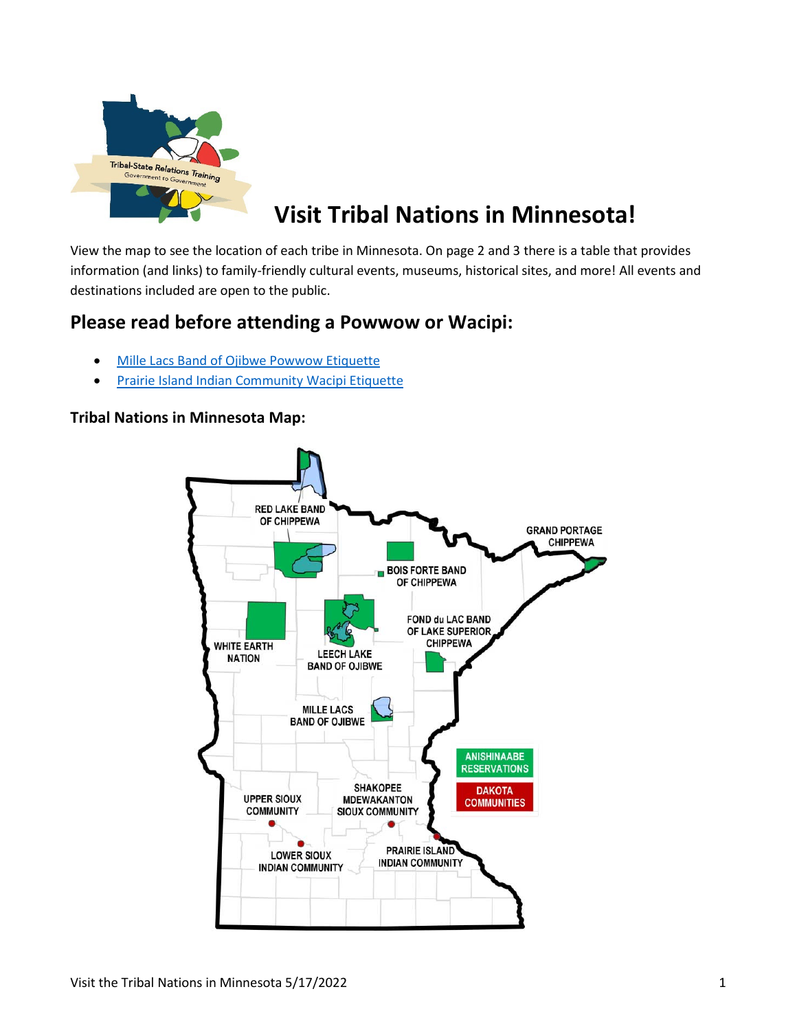

## **Visit Tribal Nations in Minnesota!**

View the map to see the location of each tribe in Minnesota. On page 2 and 3 there is a table that provides information (and links) to family-friendly cultural events, museums, historical sites, and more! All events and destinations included are open to the public.

## **Please read before attending a Powwow or Wacipi:**

- [Mille Lacs Band of Ojibwe Powwow Etiquette](https://millelacsband.com/home/pow-wow-etiquette)
- [Prairie Island Indian Community Wacipi Etiquette](http://prairieisland.org/community/powwows/#squelch-taas-accordion-shortcode-content-0)

## **Tribal Nations in Minnesota Map:**

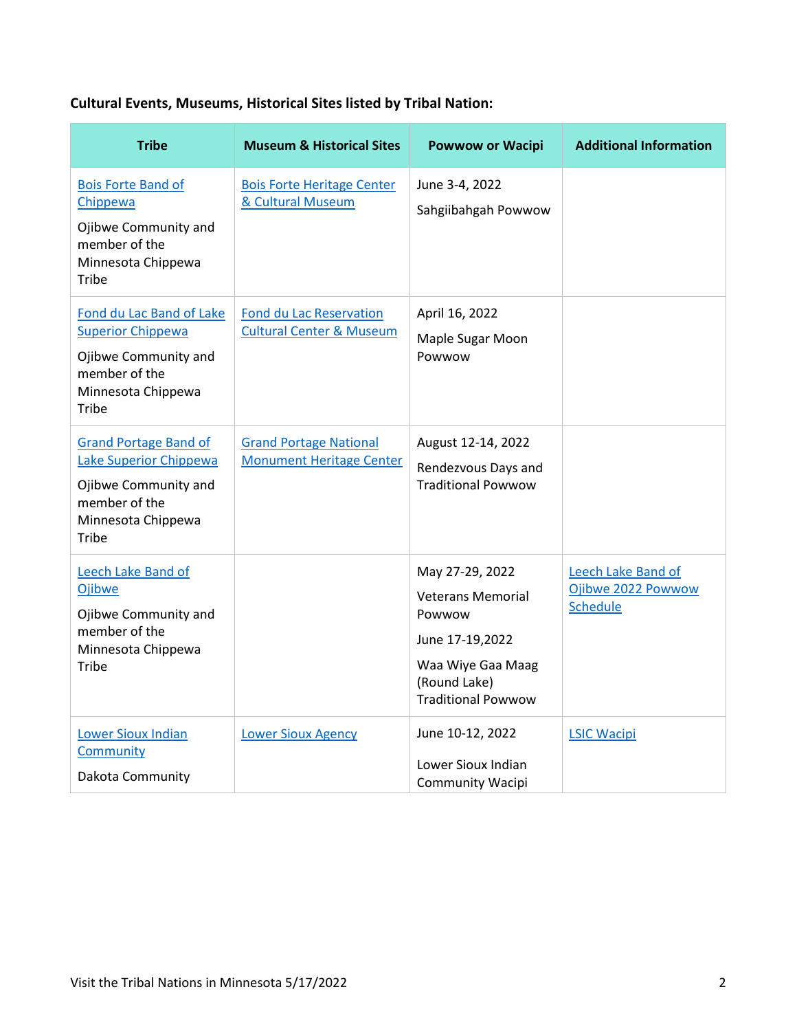## **Cultural Events, Museums, Historical Sites listed by Tribal Nation:**

| <b>Tribe</b>                                                                                                                   | <b>Museum &amp; Historical Sites</b>                                  | <b>Powwow or Wacipi</b>                                                                                                                    | <b>Additional Information</b>                               |
|--------------------------------------------------------------------------------------------------------------------------------|-----------------------------------------------------------------------|--------------------------------------------------------------------------------------------------------------------------------------------|-------------------------------------------------------------|
| <b>Bois Forte Band of</b><br>Chippewa<br>Ojibwe Community and<br>member of the<br>Minnesota Chippewa<br>Tribe                  | <b>Bois Forte Heritage Center</b><br>& Cultural Museum                | June 3-4, 2022<br>Sahgiibahgah Powwow                                                                                                      |                                                             |
| Fond du Lac Band of Lake<br><b>Superior Chippewa</b><br>Ojibwe Community and<br>member of the<br>Minnesota Chippewa<br>Tribe   | <b>Fond du Lac Reservation</b><br><b>Cultural Center &amp; Museum</b> | April 16, 2022<br>Maple Sugar Moon<br>Powwow                                                                                               |                                                             |
| <b>Grand Portage Band of</b><br>Lake Superior Chippewa<br>Ojibwe Community and<br>member of the<br>Minnesota Chippewa<br>Tribe | <b>Grand Portage National</b><br><b>Monument Heritage Center</b>      | August 12-14, 2022<br>Rendezvous Days and<br><b>Traditional Powwow</b>                                                                     |                                                             |
| Leech Lake Band of<br>Ojibwe<br>Ojibwe Community and<br>member of the<br>Minnesota Chippewa<br>Tribe                           |                                                                       | May 27-29, 2022<br><b>Veterans Memorial</b><br>Powwow<br>June 17-19,2022<br>Waa Wiye Gaa Maag<br>(Round Lake)<br><b>Traditional Powwow</b> | Leech Lake Band of<br>Ojibwe 2022 Powwow<br><b>Schedule</b> |
| <b>Lower Sioux Indian</b><br>Community<br>Dakota Community                                                                     | <b>Lower Sioux Agency</b>                                             | June 10-12, 2022<br>Lower Sioux Indian<br><b>Community Wacipi</b>                                                                          | <b>LSIC Wacipi</b>                                          |